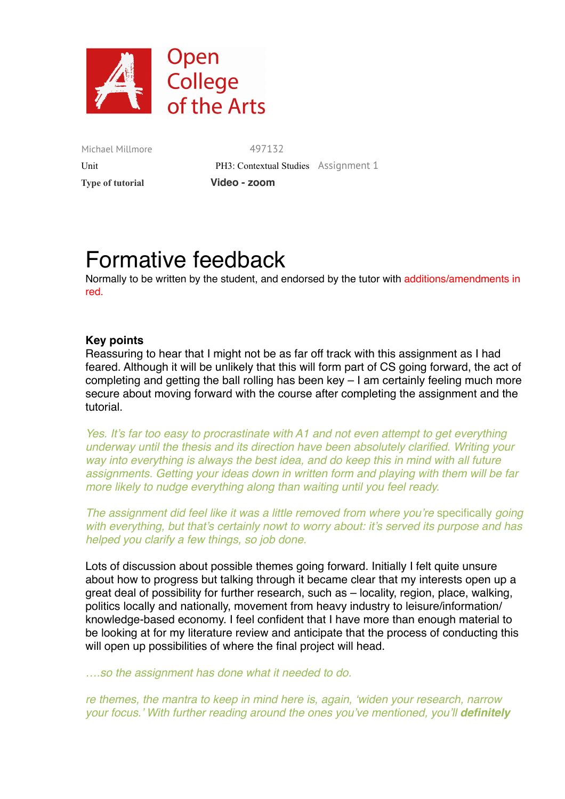

Michael Millmore 497132  **Type of tutorial Video - zoom**

Unit **PH3: Contextual Studies** Assignment 1

# Formative feedback

Normally to be written by the student, and endorsed by the tutor with additions/amendments in red.

# **Key points**

Reassuring to hear that I might not be as far off track with this assignment as I had feared. Although it will be unlikely that this will form part of CS going forward, the act of completing and getting the ball rolling has been key – I am certainly feeling much more secure about moving forward with the course after completing the assignment and the tutorial.

*Yes. It's far too easy to procrastinate with A1 and not even attempt to get everything underway until the thesis and its direction have been absolutely clarified. Writing your way into everything is always the best idea, and do keep this in mind with all future assignments. Getting your ideas down in written form and playing with them will be far more likely to nudge everything along than waiting until you feel ready.*

*The assignment did feel like it was a little removed from where you're specifically going with everything, but that's certainly nowt to worry about: it's served its purpose and has helped you clarify a few things, so job done.*

Lots of discussion about possible themes going forward. Initially I felt quite unsure about how to progress but talking through it became clear that my interests open up a great deal of possibility for further research, such as – locality, region, place, walking, politics locally and nationally, movement from heavy industry to leisure/information/ knowledge-based economy. I feel confident that I have more than enough material to be looking at for my literature review and anticipate that the process of conducting this will open up possibilities of where the final project will head.

*….so the assignment has done what it needed to do.* 

*re themes, the mantra to keep in mind here is, again, 'widen your research, narrow your focus.' With further reading around the ones you've mentioned, you'll definitely*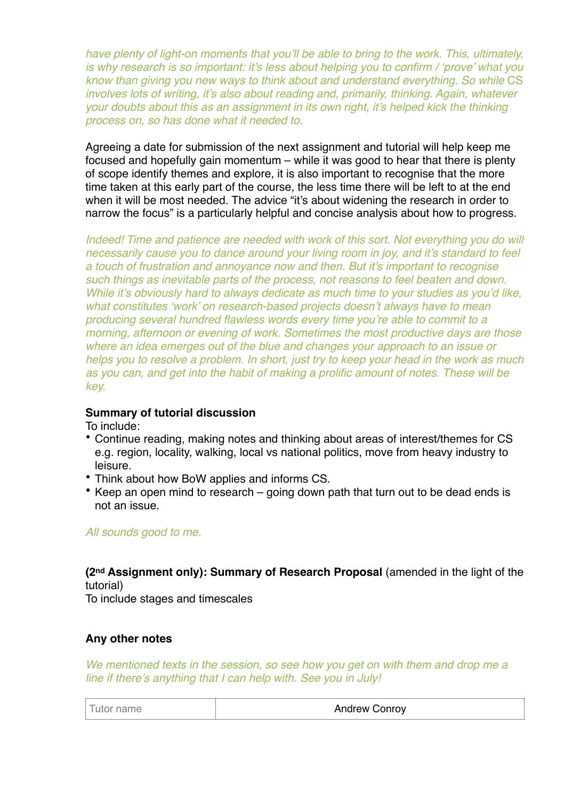*have plenty of light-on moments that you'll be able to bring to the work. This, ultimately, is why research is so important: it's less about helping you to confirm / 'prove' what you know than giving you new ways to think about and understand everything. So while* CS *involves lots of writing, it's also about reading and, primarily, thinking. Again, whatever your doubts about this as an assignment in its own right, it's helped kick the thinking process on, so has done what it needed to.*

Agreeing a date for submission of the next assignment and tutorial will help keep me focused and hopefully gain momentum – while it was good to hear that there is plenty of scope identify themes and explore, it is also important to recognise that the more time taken at this early part of the course, the less time there will be left to at the end when it will be most needed. The advice "it's about widening the research in order to narrow the focus" is a particularly helpful and concise analysis about how to progress.

*Indeed! Time and patience are needed with work of this sort. Not everything you do will necessarily cause you to dance around your living room in joy, and it's standard to feel a touch of frustration and annoyance now and then. But it's important to recognise such things as inevitable parts of the process, not reasons to feel beaten and down. While it's obviously hard to always dedicate as much time to your studies as you'd like, what constitutes 'work' on research-based projects doesn't always have to mean producing several hundred flawless words every time you're able to commit to a morning, afternoon or evening of work. Sometimes the most productive days are those where an idea emerges out of the blue and changes your approach to an issue or helps you to resolve a problem. In short, just try to keep your head in the work as much as you can, and get into the habit of making a prolific amount of notes. These will be key.*

# **Summary of tutorial discussion**

To include:

- Continue reading, making notes and thinking about areas of interest/themes for CS e.g. region, locality, walking, local vs national politics, move from heavy industry to leisure.
- Think about how BoW applies and informs CS.
- Keep an open mind to research going down path that turn out to be dead ends is not an issue.

#### *All sounds good to me.*

**(2nd Assignment only): Summary of Research Proposal** (amended in the light of the tutorial)

To include stages and timescales

# **Any other notes**

*We mentioned texts in the session, so see how you get on with them and drop me a line if there's anything that I can help with. See you in July!*